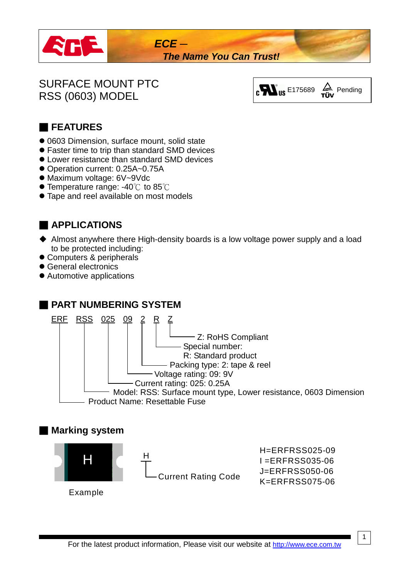

# SURFACE MOUNT PTC SURFACE MOUNT PTC<br>RSS (0603) MODEL  $\begin{bmatrix} \mathbf{e} & \mathbf{W} & \mathbf{w} \end{bmatrix}$  and  $\begin{bmatrix} \mathbf{e} & \mathbf{w} \end{bmatrix}$  and  $\begin{bmatrix} \mathbf{e} & \mathbf{w} \end{bmatrix}$  and  $\begin{bmatrix} \mathbf{e} & \mathbf{w} \end{bmatrix}$



### ■ **FEATURES**

- 0603 Dimension, surface mount, solid state
- Faster time to trip than standard SMD devices
- Lower resistance than standard SMD devices
- Operation current: 0.25A~0.75A
- Maximum voltage: 6V~9Vdc
- $\bullet$  Temperature range: -40 $\degree$ C to 85 $\degree$ C
- **Tape and reel available on most models**

### ■ **APPLICATIONS**

- ◆ Almost anywhere there High-density boards is a low voltage power supply and a load to be protected including:
- Computers & peripherals
- General electronics
- Automotive applications

#### ■ **PART NUMBERING SYSTEM**



#### ■ **Marking system**

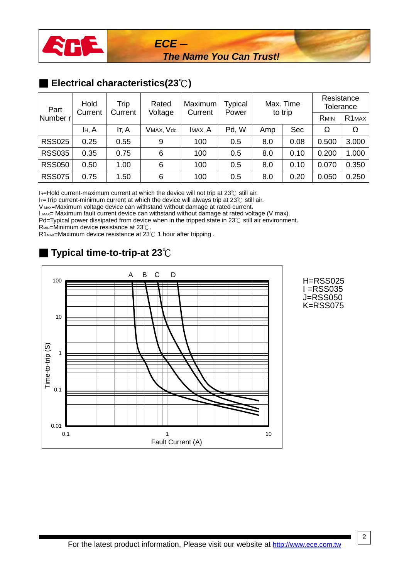

### ■ **Electrical characteristics(23°C)**

| Part                | Hold<br>Trip<br>Current<br>Current |       | Rated<br>Voltage | Maximum<br>Current | Typical<br>Power | Max. Time |            | Resistance<br>Tolerance |                    |
|---------------------|------------------------------------|-------|------------------|--------------------|------------------|-----------|------------|-------------------------|--------------------|
| Number <sub>r</sub> |                                    |       |                  |                    |                  | to trip   |            | <b>RMIN</b>             | R <sub>1</sub> MAX |
|                     | IH, A                              | It, A | VMAX, Vdc        | IMAX, A            | Pd, W            | Amp       | <b>Sec</b> | Ω                       | Ω                  |
| <b>RSS025</b>       | 0.25                               | 0.55  | 9                | 100                | 0.5              | 8.0       | 0.08       | 0.500                   | 3.000              |
| <b>RSS035</b>       | 0.35                               | 0.75  | 6                | 100                | 0.5              | 8.0       | 0.10       | 0.200                   | 1.000              |
| <b>RSS050</b>       | 0.50                               | 1.00  | 6                | 100                | 0.5              | 8.0       | 0.10       | 0.070                   | 0.350              |
| <b>RSS075</b>       | 0.75                               | 1.50  | 6                | 100                | 0.5              | 8.0       | 0.20       | 0.050                   | 0.250              |

I $H=H$ old current-maximum current at which the device will not trip at 23° $\degree$  still air.

IT=Trip current-minimum current at which the device will always trip at 23°C still air.

V MAX=Maximum voltage device can withstand without damage at rated current.

I MAX= Maximum fault current device can withstand without damage at rated voltage (V max).

Pd=Typical power dissipated from device when in the tripped state in 23℃ still air environment.

R<sub>MIN</sub>=Minimum device resistance at 23°C.

R1<sub>MAX</sub>=Maximum device resistance at 23°C 1 hour after tripping.

# ■ **Typical time-to-trip-at 23**℃



H=RSS025 I =RSS035 J=RSS050 K=RSS075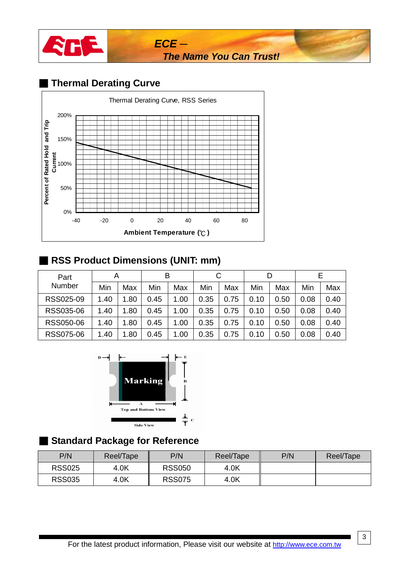

# ■ **Thermal Derating Curve**



### ■ **RSS Product Dimensions (UNIT: mm)**

| Part      | A    |      | В    |      |      |      | D    |      |      |      |
|-----------|------|------|------|------|------|------|------|------|------|------|
| Number    | Min  | Max  | Min  | Max  | Min  | Max  | Min  | Max  | Min  | Max  |
| RSS025-09 | 1.40 | 1.80 | 0.45 | 1.00 | 0.35 | 0.75 | 0.10 | 0.50 | 0.08 | 0.40 |
| RSS035-06 | 1.40 | 1.80 | 0.45 | 1.00 | 0.35 | 0.75 | 0.10 | 0.50 | 0.08 | 0.40 |
| RSS050-06 | 1.40 | 1.80 | 0.45 | 1.00 | 0.35 | 0.75 | 0.10 | 0.50 | 0.08 | 0.40 |
| RSS075-06 | 1.40 | 1.80 | 0.45 | 1.00 | 0.35 | 0.75 | 0.10 | 0.50 | 0.08 | 0.40 |



### ■ **Standard Package for Reference**

| P/N           | Reel/Tape | P/N           | Reel/Tape | P/N | Reel/Tape |
|---------------|-----------|---------------|-----------|-----|-----------|
| <b>RSS025</b> | 4.0K      | <b>RSS050</b> | 4.0K      |     |           |
| <b>RSS035</b> | 4.0K      | <b>RSS075</b> | 4.0K      |     |           |

3